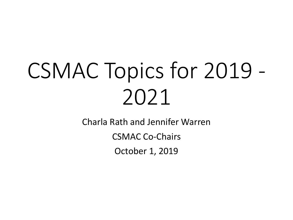## CSMAC Topics for 2019 - 2021

Charla Rath and Jennifer Warren

CSMAC Co-Chairs

October 1, 2019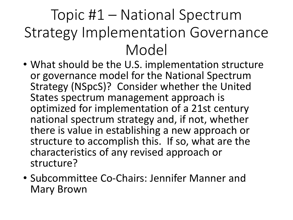## Topic #1 – National Spectrum Strategy Implementation Governance Model

- What should be the U.S. implementation structure or governance model for the National Spectrum Strategy (NSpcS)? Consider whether the United States spectrum management approach is optimized for implementation of a 21st century national spectrum strategy and, if not, whether there is value in establishing a new approach or structure to accomplish this. If so, what are the characteristics of any revised approach or structure?
- Subcommittee Co-Chairs: Jennifer Manner and Mary Brown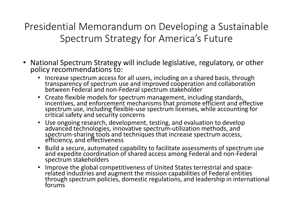Presidential Memorandum on Developing a Sustainable Spectrum Strategy for America's Future

- National Spectrum Strategy will include legislative, regulatory, or other policy recommendations to:
	- Increase spectrum access for all users, including on a shared basis, through transparency of spectrum use and improved cooperation and collaboration between Federal and non-Federal spectrum stakeholder
	- Create flexible models for spectrum management, including standards, incentives, and enforcement mechanisms that promote efficient and effective spectrum use, including flexible-use spectrum licenses, while accounting for critical safety and security concerns
	- Use ongoing research, development, testing, and evaluation to develop advanced technologies, innovative spectrum-utilization methods, and spectrum-sharing tools and techniques that increase spectrum access, efficiency, and effectiveness
	- Build a secure, automated capability to facilitate assessments of spectrum use and expedite coordination of shared access among Federal and non-Federal spectrum stakeholders
	- Improve the global competitiveness of United States terrestrial and space- related industries and augment the mission capabilities of Federal entities through spectrum policies, domestic regulations, and leadership in international forums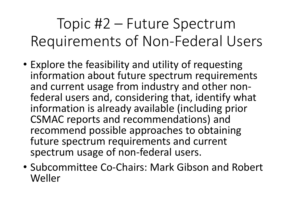Topic #2 – Future Spectrum Requirements of Non-Federal Users

- Explore the feasibility and utility of requesting information about future spectrum requirements and current usage from industry and other non-<br>federal users and, considering that, identify what information is already available (including prior CSMAC reports and recommendations) and recommend possible approaches to obtaining future spectrum requirements and current spectrum usage of non-federal users.
- Subcommittee Co-Chairs: Mark Gibson and Robert Weller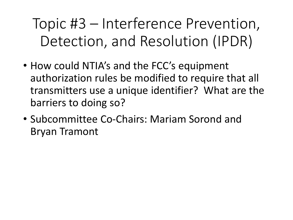Topic #3 – Interference Prevention, Detection, and Resolution (IPDR)

- How could NTIA's and the FCC's equipment authorization rules be modified to require that all transmitters use a unique identifier? What are the barriers to doing so?
- Subcommittee Co-Chairs: Mariam Sorond and Bryan Tramont